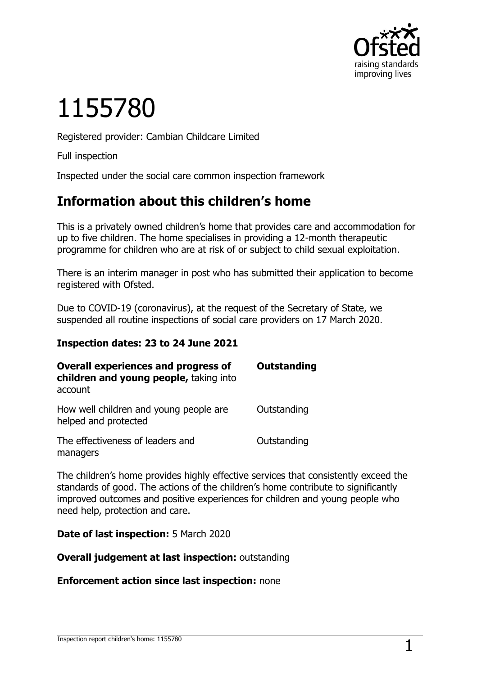

# 1155780

Registered provider: Cambian Childcare Limited

Full inspection

Inspected under the social care common inspection framework

## **Information about this children's home**

This is a privately owned children's home that provides care and accommodation for up to five children. The home specialises in providing a 12-month therapeutic programme for children who are at risk of or subject to child sexual exploitation.

There is an interim manager in post who has submitted their application to become registered with Ofsted.

Due to COVID-19 (coronavirus), at the request of the Secretary of State, we suspended all routine inspections of social care providers on 17 March 2020.

#### **Inspection dates: 23 to 24 June 2021**

| <b>Overall experiences and progress of</b><br>children and young people, taking into<br>account | <b>Outstanding</b> |
|-------------------------------------------------------------------------------------------------|--------------------|
| How well children and young people are<br>helped and protected                                  | Outstanding        |
| The effectiveness of leaders and<br>managers                                                    | Outstanding        |

The children's home provides highly effective services that consistently exceed the standards of good. The actions of the children's home contribute to significantly improved outcomes and positive experiences for children and young people who need help, protection and care.

**Date of last inspection:** 5 March 2020

**Overall judgement at last inspection:** outstanding

**Enforcement action since last inspection:** none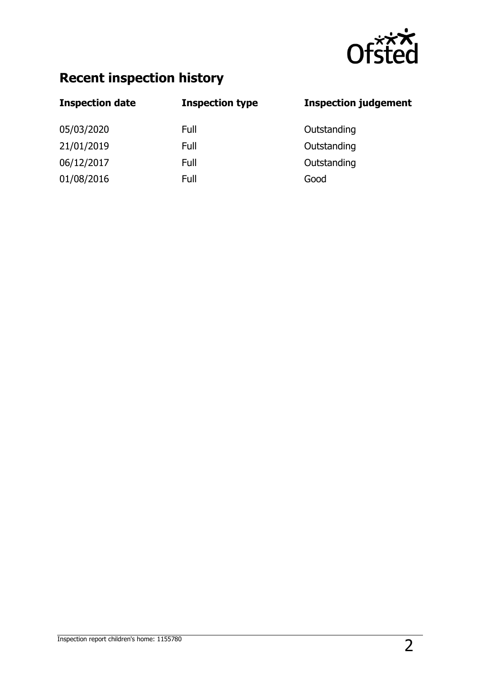

## **Recent inspection history**

| <b>Inspection date</b> | <b>Inspection type</b> | <b>Inspection judgement</b> |
|------------------------|------------------------|-----------------------------|
| 05/03/2020             | Full                   | Outstanding                 |
| 21/01/2019             | Full                   | Outstanding                 |
| 06/12/2017             | Full                   | Outstanding                 |
| 01/08/2016             | Full                   | Good                        |
|                        |                        |                             |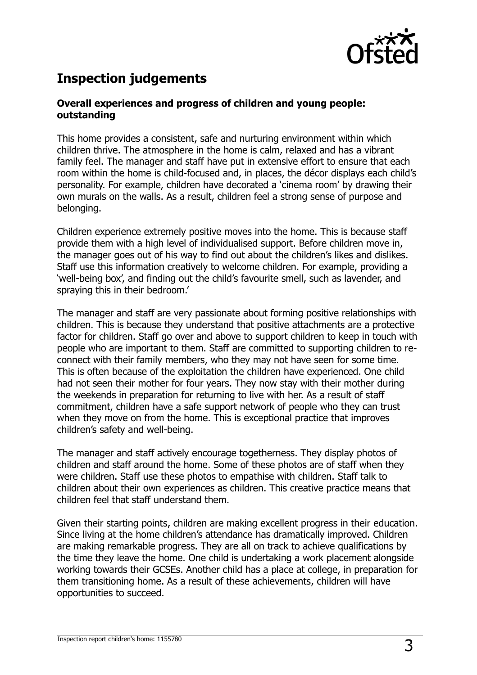

## **Inspection judgements**

#### **Overall experiences and progress of children and young people: outstanding**

This home provides a consistent, safe and nurturing environment within which children thrive. The atmosphere in the home is calm, relaxed and has a vibrant family feel. The manager and staff have put in extensive effort to ensure that each room within the home is child-focused and, in places, the décor displays each child's personality. For example, children have decorated a 'cinema room' by drawing their own murals on the walls. As a result, children feel a strong sense of purpose and belonging.

Children experience extremely positive moves into the home. This is because staff provide them with a high level of individualised support. Before children move in, the manager goes out of his way to find out about the children's likes and dislikes. Staff use this information creatively to welcome children. For example, providing a 'well-being box', and finding out the child's favourite smell, such as lavender, and spraying this in their bedroom.'

The manager and staff are very passionate about forming positive relationships with children. This is because they understand that positive attachments are a protective factor for children. Staff go over and above to support children to keep in touch with people who are important to them. Staff are committed to supporting children to reconnect with their family members, who they may not have seen for some time. This is often because of the exploitation the children have experienced. One child had not seen their mother for four years. They now stay with their mother during the weekends in preparation for returning to live with her. As a result of staff commitment, children have a safe support network of people who they can trust when they move on from the home. This is exceptional practice that improves children's safety and well-being.

The manager and staff actively encourage togetherness. They display photos of children and staff around the home. Some of these photos are of staff when they were children. Staff use these photos to empathise with children. Staff talk to children about their own experiences as children. This creative practice means that children feel that staff understand them.

Given their starting points, children are making excellent progress in their education. Since living at the home children's attendance has dramatically improved. Children are making remarkable progress. They are all on track to achieve qualifications by the time they leave the home. One child is undertaking a work placement alongside working towards their GCSEs. Another child has a place at college, in preparation for them transitioning home. As a result of these achievements, children will have opportunities to succeed.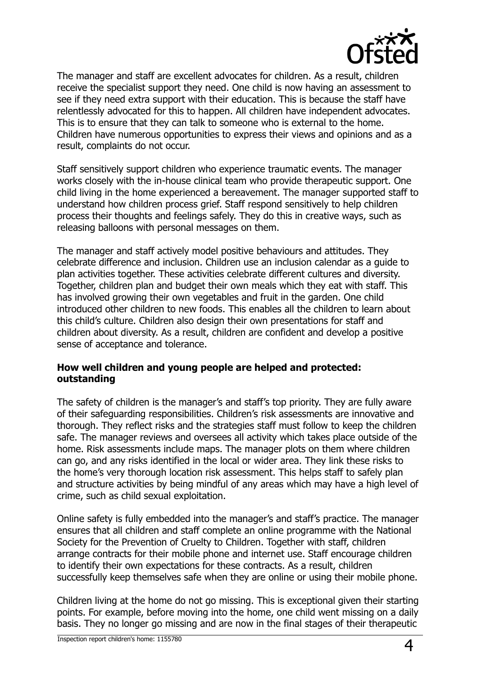

The manager and staff are excellent advocates for children. As a result, children receive the specialist support they need. One child is now having an assessment to see if they need extra support with their education. This is because the staff have relentlessly advocated for this to happen. All children have independent advocates. This is to ensure that they can talk to someone who is external to the home. Children have numerous opportunities to express their views and opinions and as a result, complaints do not occur.

Staff sensitively support children who experience traumatic events. The manager works closely with the in-house clinical team who provide therapeutic support. One child living in the home experienced a bereavement. The manager supported staff to understand how children process grief. Staff respond sensitively to help children process their thoughts and feelings safely. They do this in creative ways, such as releasing balloons with personal messages on them.

The manager and staff actively model positive behaviours and attitudes. They celebrate difference and inclusion. Children use an inclusion calendar as a guide to plan activities together. These activities celebrate different cultures and diversity. Together, children plan and budget their own meals which they eat with staff. This has involved growing their own vegetables and fruit in the garden. One child introduced other children to new foods. This enables all the children to learn about this child's culture. Children also design their own presentations for staff and children about diversity. As a result, children are confident and develop a positive sense of acceptance and tolerance.

#### **How well children and young people are helped and protected: outstanding**

The safety of children is the manager's and staff's top priority. They are fully aware of their safeguarding responsibilities. Children's risk assessments are innovative and thorough. They reflect risks and the strategies staff must follow to keep the children safe. The manager reviews and oversees all activity which takes place outside of the home. Risk assessments include maps. The manager plots on them where children can go, and any risks identified in the local or wider area. They link these risks to the home's very thorough location risk assessment. This helps staff to safely plan and structure activities by being mindful of any areas which may have a high level of crime, such as child sexual exploitation.

Online safety is fully embedded into the manager's and staff's practice. The manager ensures that all children and staff complete an online programme with the National Society for the Prevention of Cruelty to Children. Together with staff, children arrange contracts for their mobile phone and internet use. Staff encourage children to identify their own expectations for these contracts. As a result, children successfully keep themselves safe when they are online or using their mobile phone.

Children living at the home do not go missing. This is exceptional given their starting points. For example, before moving into the home, one child went missing on a daily basis. They no longer go missing and are now in the final stages of their therapeutic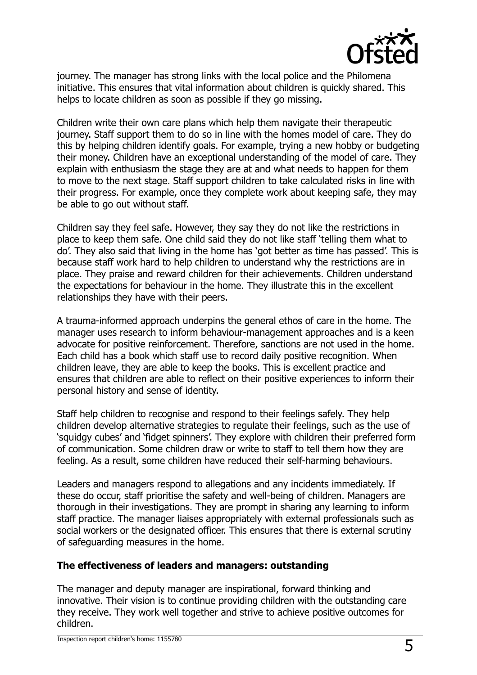

journey. The manager has strong links with the local police and the Philomena initiative. This ensures that vital information about children is quickly shared. This helps to locate children as soon as possible if they go missing.

Children write their own care plans which help them navigate their therapeutic journey. Staff support them to do so in line with the homes model of care. They do this by helping children identify goals. For example, trying a new hobby or budgeting their money. Children have an exceptional understanding of the model of care. They explain with enthusiasm the stage they are at and what needs to happen for them to move to the next stage. Staff support children to take calculated risks in line with their progress. For example, once they complete work about keeping safe, they may be able to go out without staff.

Children say they feel safe. However, they say they do not like the restrictions in place to keep them safe. One child said they do not like staff 'telling them what to do'. They also said that living in the home has 'got better as time has passed'. This is because staff work hard to help children to understand why the restrictions are in place. They praise and reward children for their achievements. Children understand the expectations for behaviour in the home. They illustrate this in the excellent relationships they have with their peers.

A trauma-informed approach underpins the general ethos of care in the home. The manager uses research to inform behaviour-management approaches and is a keen advocate for positive reinforcement. Therefore, sanctions are not used in the home. Each child has a book which staff use to record daily positive recognition. When children leave, they are able to keep the books. This is excellent practice and ensures that children are able to reflect on their positive experiences to inform their personal history and sense of identity.

Staff help children to recognise and respond to their feelings safely. They help children develop alternative strategies to regulate their feelings, such as the use of 'squidgy cubes' and 'fidget spinners'. They explore with children their preferred form of communication. Some children draw or write to staff to tell them how they are feeling. As a result, some children have reduced their self-harming behaviours.

Leaders and managers respond to allegations and any incidents immediately. If these do occur, staff prioritise the safety and well-being of children. Managers are thorough in their investigations. They are prompt in sharing any learning to inform staff practice. The manager liaises appropriately with external professionals such as social workers or the designated officer. This ensures that there is external scrutiny of safeguarding measures in the home.

#### **The effectiveness of leaders and managers: outstanding**

The manager and deputy manager are inspirational, forward thinking and innovative. Their vision is to continue providing children with the outstanding care they receive. They work well together and strive to achieve positive outcomes for children.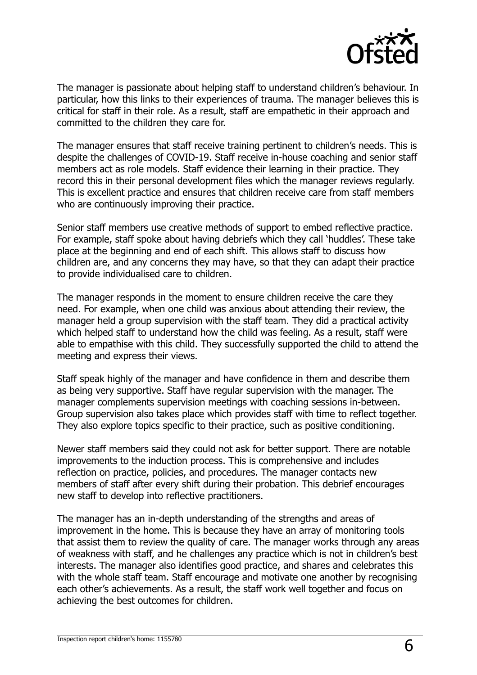

The manager is passionate about helping staff to understand children's behaviour. In particular, how this links to their experiences of trauma. The manager believes this is critical for staff in their role. As a result, staff are empathetic in their approach and committed to the children they care for.

The manager ensures that staff receive training pertinent to children's needs. This is despite the challenges of COVID-19. Staff receive in-house coaching and senior staff members act as role models. Staff evidence their learning in their practice. They record this in their personal development files which the manager reviews regularly. This is excellent practice and ensures that children receive care from staff members who are continuously improving their practice.

Senior staff members use creative methods of support to embed reflective practice. For example, staff spoke about having debriefs which they call 'huddles'. These take place at the beginning and end of each shift. This allows staff to discuss how children are, and any concerns they may have, so that they can adapt their practice to provide individualised care to children.

The manager responds in the moment to ensure children receive the care they need. For example, when one child was anxious about attending their review, the manager held a group supervision with the staff team. They did a practical activity which helped staff to understand how the child was feeling. As a result, staff were able to empathise with this child. They successfully supported the child to attend the meeting and express their views.

Staff speak highly of the manager and have confidence in them and describe them as being very supportive. Staff have regular supervision with the manager. The manager complements supervision meetings with coaching sessions in-between. Group supervision also takes place which provides staff with time to reflect together. They also explore topics specific to their practice, such as positive conditioning.

Newer staff members said they could not ask for better support. There are notable improvements to the induction process. This is comprehensive and includes reflection on practice, policies, and procedures. The manager contacts new members of staff after every shift during their probation. This debrief encourages new staff to develop into reflective practitioners.

The manager has an in-depth understanding of the strengths and areas of improvement in the home. This is because they have an array of monitoring tools that assist them to review the quality of care. The manager works through any areas of weakness with staff, and he challenges any practice which is not in children's best interests. The manager also identifies good practice, and shares and celebrates this with the whole staff team. Staff encourage and motivate one another by recognising each other's achievements. As a result, the staff work well together and focus on achieving the best outcomes for children.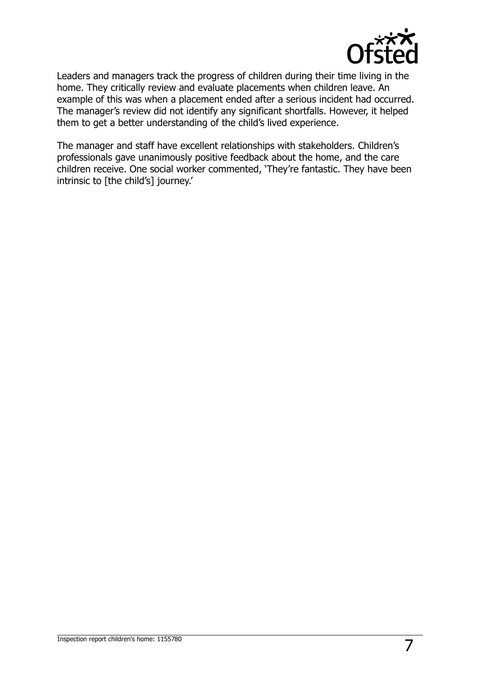

Leaders and managers track the progress of children during their time living in the home. They critically review and evaluate placements when children leave. An example of this was when a placement ended after a serious incident had occurred. The manager's review did not identify any significant shortfalls. However, it helped them to get a better understanding of the child's lived experience.

The manager and staff have excellent relationships with stakeholders. Children's professionals gave unanimously positive feedback about the home, and the care children receive. One social worker commented, 'They're fantastic. They have been intrinsic to [the child's] journey.'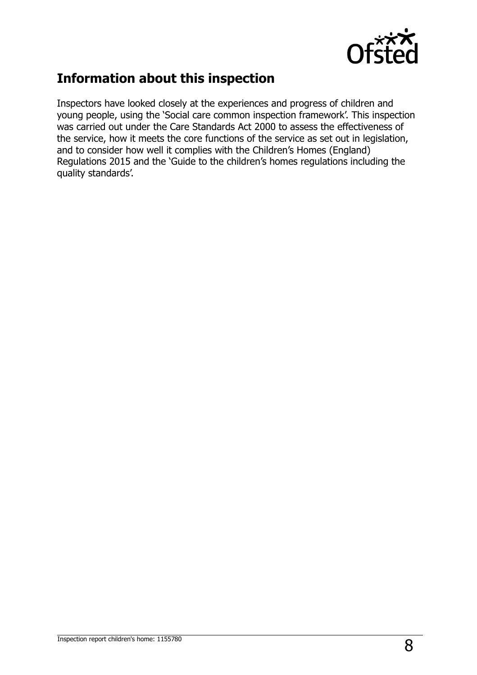

## **Information about this inspection**

Inspectors have looked closely at the experiences and progress of children and young people, using the 'Social care common inspection framework'. This inspection was carried out under the Care Standards Act 2000 to assess the effectiveness of the service, how it meets the core functions of the service as set out in legislation, and to consider how well it complies with the Children's Homes (England) Regulations 2015 and the 'Guide to the children's homes regulations including the quality standards'.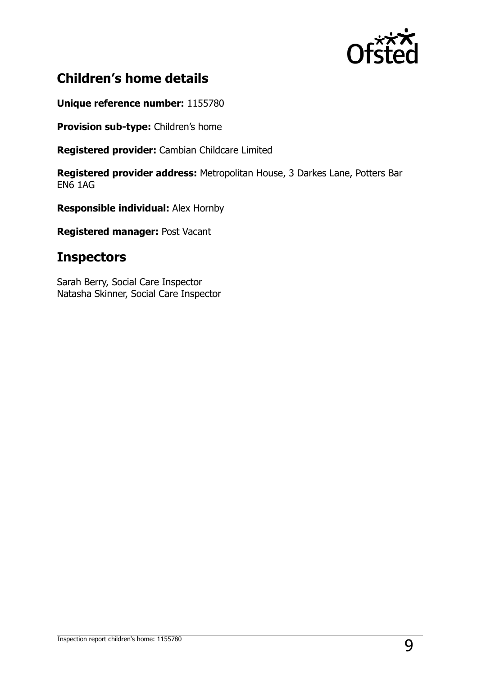

## **Children's home details**

**Unique reference number:** 1155780

**Provision sub-type:** Children's home

**Registered provider:** Cambian Childcare Limited

**Registered provider address:** Metropolitan House, 3 Darkes Lane, Potters Bar EN6 1AG

**Responsible individual:** Alex Hornby

**Registered manager:** Post Vacant

### **Inspectors**

Sarah Berry, Social Care Inspector Natasha Skinner, Social Care Inspector